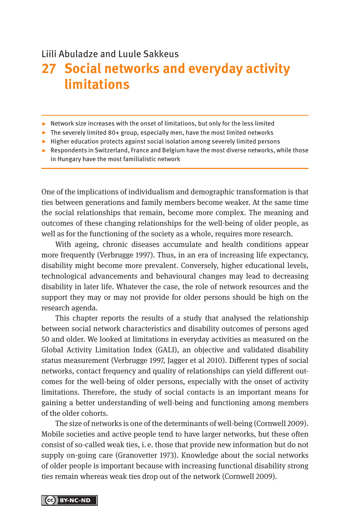#### Liili Abuladze and Luule Sakkeus

# **27 Social networks and everyday activity limitations**

- ▶ Network size increases with the onset of limitations, but only for the less limited
- ▸ The severely limited 80+ group, especially men, have the most limited networks
- ▸ Higher education protects against social isolation among severely limited persons
- ▶ Respondents in Switzerland, France and Belgium have the most diverse networks, while those in Hungary have the most familialistic network

One of the implications of individualism and demographic transformation is that ties between generations and family members become weaker. At the same time the social relationships that remain, become more complex. The meaning and outcomes of these changing relationships for the well-being of older people, as well as for the functioning of the society as a whole, requires more research.

With ageing, chronic diseases accumulate and health conditions appear more frequently (Verbrugge 1997). Thus, in an era of increasing life expectancy, disability might become more prevalent. Conversely, higher educational levels, technological advancements and behavioural changes may lead to decreasing disability in later life. Whatever the case, the role of network resources and the support they may or may not provide for older persons should be high on the research agenda.

This chapter reports the results of a study that analysed the relationship between social network characteristics and disability outcomes of persons aged 50 and older. We looked at limitations in everyday activities as measured on the Global Activity Limitation Index (GALI), an objective and validated disability status measurement (Verbrugge 1997, Jagger et al 2010). Different types of social networks, contact frequency and quality of relationships can yield different outcomes for the well-being of older persons, especially with the onset of activity limitations. Therefore, the study of social contacts is an important means for gaining a better understanding of well-being and functioning among members of the older cohorts.

The size of networks is one of the determinants of well-being (Cornwell 2009). Mobile societies and active people tend to have larger networks, but these often consist of so-called weak ties, i. e. those that provide new information but do not supply on-going care (Granovetter 1973). Knowledge about the social networks of older people is important because with increasing functional disability strong ties remain whereas weak ties drop out of the network (Cornwell 2009).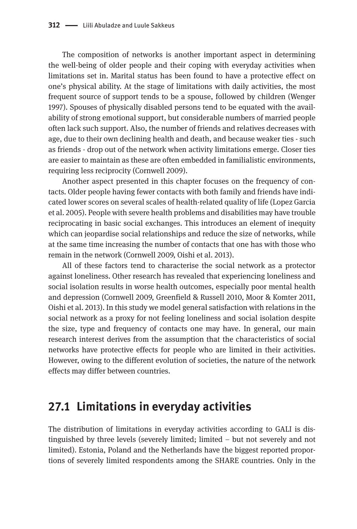The composition of networks is another important aspect in determining the well-being of older people and their coping with everyday activities when limitations set in. Marital status has been found to have a protective effect on one's physical ability. At the stage of limitations with daily activities, the most frequent source of support tends to be a spouse, followed by children (Wenger 1997). Spouses of physically disabled persons tend to be equated with the availability of strong emotional support, but considerable numbers of married people often lack such support. Also, the number of friends and relatives decreases with age, due to their own declining health and death, and because weaker ties - such as friends - drop out of the network when activity limitations emerge. Closer ties are easier to maintain as these are often embedded in familialistic environments, requiring less reciprocity (Cornwell 2009).

Another aspect presented in this chapter focuses on the frequency of contacts. Older people having fewer contacts with both family and friends have indicated lower scores on several scales of health-related quality of life (Lopez Garcia et al. 2005). People with severe health problems and disabilities may have trouble reciprocating in basic social exchanges. This introduces an element of inequity which can jeopardise social relationships and reduce the size of networks, while at the same time increasing the number of contacts that one has with those who remain in the network (Cornwell 2009, Oishi et al. 2013).

All of these factors tend to characterise the social network as a protector against loneliness. Other research has revealed that experiencing loneliness and social isolation results in worse health outcomes, especially poor mental health and depression (Cornwell 2009, Greenfield & Russell 2010, Moor & Komter 2011, Oishi et al. 2013). In this study we model general satisfaction with relations in the social network as a proxy for not feeling loneliness and social isolation despite the size, type and frequency of contacts one may have. In general, our main research interest derives from the assumption that the characteristics of social networks have protective effects for people who are limited in their activities. However, owing to the different evolution of societies, the nature of the network effects may differ between countries.

### **27.1 Limitations in everyday activities**

The distribution of limitations in everyday activities according to GALI is distinguished by three levels (severely limited; limited – but not severely and not limited). Estonia, Poland and the Netherlands have the biggest reported proportions of severely limited respondents among the SHARE countries. Only in the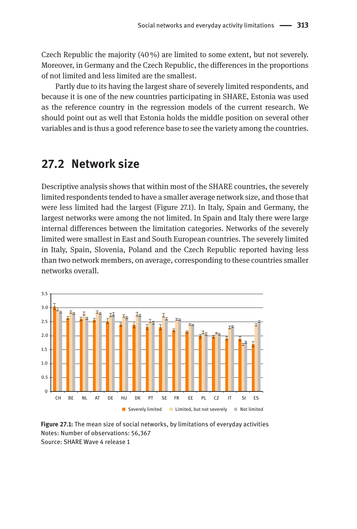Czech Republic the majority  $(40\%)$  are limited to some extent, but not severely. Moreover, in Germany and the Czech Republic, the differences in the proportions of not limited and less limited are the smallest.

Partly due to its having the largest share of severely limited respondents, and because it is one of the new countries participating in SHARE, Estonia was used as the reference country in the regression models of the current research. We should point out as well that Estonia holds the middle position on several other variables and is thus a good reference base to see the variety among the countries.

### **27.2 Network size**

Descriptive analysis shows that within most of the SHARE countries, the severely limited respondents tended to have a smaller average network size, and those that were less limited had the largest (Figure 27.1). In Italy, Spain and Germany, the largest networks were among the not limited. In Spain and Italy there were large internal differences between the limitation categories. Networks of the severely limited were smallest in East and South European countries. The severely limited in Italy, Spain, Slovenia, Poland and the Czech Republic reported having less than two network members, on average, corresponding to these countries smaller networks overall.



**Figure 27.1:** The mean size of social networks, by limitations of everyday activities Notes: Number of observations: 56,367 Source: SHARE Wave 4 release 1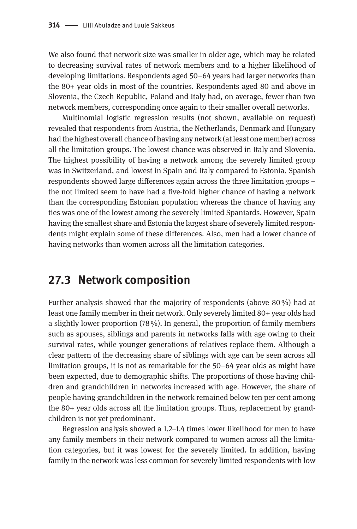We also found that network size was smaller in older age, which may be related to decreasing survival rates of network members and to a higher likelihood of developing limitations. Respondents aged 50–64 years had larger networks than the 80+ year olds in most of the countries. Respondents aged 80 and above in Slovenia, the Czech Republic, Poland and Italy had, on average, fewer than two network members, corresponding once again to their smaller overall networks.

Multinomial logistic regression results (not shown, available on request) revealed that respondents from Austria, the Netherlands, Denmark and Hungary had the highest overall chance of having any network (at least one member) across all the limitation groups. The lowest chance was observed in Italy and Slovenia. The highest possibility of having a network among the severely limited group was in Switzerland, and lowest in Spain and Italy compared to Estonia. Spanish respondents showed large differences again across the three limitation groups – the not limited seem to have had a five-fold higher chance of having a network than the corresponding Estonian population whereas the chance of having any ties was one of the lowest among the severely limited Spaniards. However, Spain having the smallest share and Estonia the largest share of severely limited respondents might explain some of these differences. Also, men had a lower chance of having networks than women across all the limitation categories.

#### **27.3 Network composition**

Further analysis showed that the majority of respondents (above 80%) had at least one family member in their network. Only severely limited 80+ year olds had a slightly lower proportion  $(78\%)$ . In general, the proportion of family members such as spouses, siblings and parents in networks falls with age owing to their survival rates, while younger generations of relatives replace them. Although a clear pattern of the decreasing share of siblings with age can be seen across all limitation groups, it is not as remarkable for the 50–64 year olds as might have been expected, due to demographic shifts. The proportions of those having children and grandchildren in networks increased with age. However, the share of people having grandchildren in the network remained below ten per cent among the 80+ year olds across all the limitation groups. Thus, replacement by grandchildren is not yet predominant.

Regression analysis showed a 1.2–1.4 times lower likelihood for men to have any family members in their network compared to women across all the limitation categories, but it was lowest for the severely limited. In addition, having family in the network was less common for severely limited respondents with low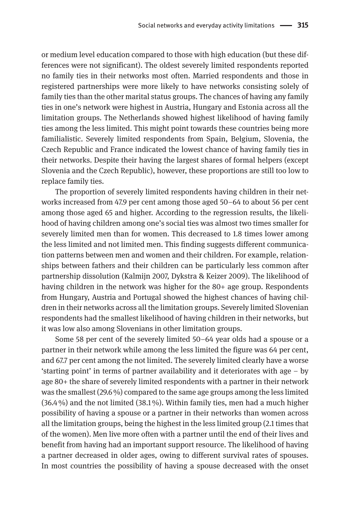or medium level education compared to those with high education (but these differences were not significant). The oldest severely limited respondents reported no family ties in their networks most often. Married respondents and those in registered partnerships were more likely to have networks consisting solely of family ties than the other marital status groups. The chances of having any family ties in one's network were highest in Austria, Hungary and Estonia across all the limitation groups. The Netherlands showed highest likelihood of having family ties among the less limited. This might point towards these countries being more familialistic. Severely limited respondents from Spain, Belgium, Slovenia, the Czech Republic and France indicated the lowest chance of having family ties in their networks. Despite their having the largest shares of formal helpers (except Slovenia and the Czech Republic), however, these proportions are still too low to replace family ties.

The proportion of severely limited respondents having children in their networks increased from 47.9 per cent among those aged 50–64 to about 56 per cent among those aged 65 and higher. According to the regression results, the likelihood of having children among one's social ties was almost two times smaller for severely limited men than for women. This decreased to 1.8 times lower among the less limited and not limited men. This finding suggests different communication patterns between men and women and their children. For example, relationships between fathers and their children can be particularly less common after partnership dissolution (Kalmijn 2007, Dykstra & Keizer 2009). The likelihood of having children in the network was higher for the 80+ age group. Respondents from Hungary, Austria and Portugal showed the highest chances of having children in their networks across all the limitation groups. Severely limited Slovenian respondents had the smallest likelihood of having children in their networks, but it was low also among Slovenians in other limitation groups.

Some 58 per cent of the severely limited 50–64 year olds had a spouse or a partner in their network while among the less limited the figure was 64 per cent, and 67.7 per cent among the not limited. The severely limited clearly have a worse 'starting point' in terms of partner availability and it deteriorates with age – by age 80+ the share of severely limited respondents with a partner in their network was the smallest (29.6%) compared to the same age groups among the less limited  $(36.4%)$  and the not limited  $(38.1%)$ . Within family ties, men had a much higher possibility of having a spouse or a partner in their networks than women across all the limitation groups, being the highest in the less limited group (2.1 times that of the women). Men live more often with a partner until the end of their lives and benefit from having had an important support resource. The likelihood of having a partner decreased in older ages, owing to different survival rates of spouses. In most countries the possibility of having a spouse decreased with the onset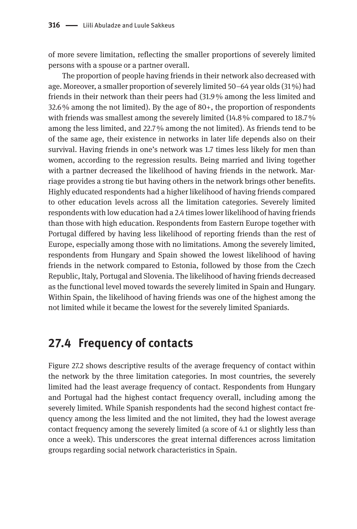of more severe limitation, reflecting the smaller proportions of severely limited persons with a spouse or a partner overall.

The proportion of people having friends in their network also decreased with age. Moreover, a smaller proportion of severely limited 50–64 year olds (31 %) had friends in their network than their peers had (31.9% among the less limited and  $32.6\%$  among the not limited). By the age of 80+, the proportion of respondents with friends was smallest among the severely limited (14.8% compared to 18.7%) among the less limited, and 22.7% among the not limited). As friends tend to be of the same age, their existence in networks in later life depends also on their survival. Having friends in one's network was 1.7 times less likely for men than women, according to the regression results. Being married and living together with a partner decreased the likelihood of having friends in the network. Marriage provides a strong tie but having others in the network brings other benefits. Highly educated respondents had a higher likelihood of having friends compared to other education levels across all the limitation categories. Severely limited respondents with low education had a 2.4 times lower likelihood of having friends than those with high education. Respondents from Eastern Europe together with Portugal differed by having less likelihood of reporting friends than the rest of Europe, especially among those with no limitations. Among the severely limited, respondents from Hungary and Spain showed the lowest likelihood of having friends in the network compared to Estonia, followed by those from the Czech Republic, Italy, Portugal and Slovenia. The likelihood of having friends decreased as the functional level moved towards the severely limited in Spain and Hungary. Within Spain, the likelihood of having friends was one of the highest among the not limited while it became the lowest for the severely limited Spaniards.

### **27.4 Frequency of contacts**

Figure 27.2 shows descriptive results of the average frequency of contact within the network by the three limitation categories. In most countries, the severely limited had the least average frequency of contact. Respondents from Hungary and Portugal had the highest contact frequency overall, including among the severely limited. While Spanish respondents had the second highest contact frequency among the less limited and the not limited, they had the lowest average contact frequency among the severely limited (a score of 4.1 or slightly less than once a week). This underscores the great internal differences across limitation groups regarding social network characteristics in Spain.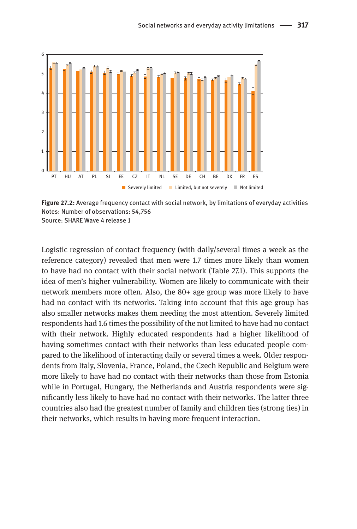

**Figure 27.2:** Average frequency contact with social network, by limitations of everyday activities Notes: Number of observations: 54,756 Source: SHARE Wave 4 release 1

Logistic regression of contact frequency (with daily/several times a week as the reference category) revealed that men were 1.7 times more likely than women to have had no contact with their social network (Table 27.1). This supports the idea of men's higher vulnerability. Women are likely to communicate with their network members more often. Also, the 80+ age group was more likely to have had no contact with its networks. Taking into account that this age group has also smaller networks makes them needing the most attention. Severely limited respondents had 1.6 times the possibility of the not limited to have had no contact with their network. Highly educated respondents had a higher likelihood of having sometimes contact with their networks than less educated people compared to the likelihood of interacting daily or several times a week. Older respondents from Italy, Slovenia, France, Poland, the Czech Republic and Belgium were more likely to have had no contact with their networks than those from Estonia while in Portugal, Hungary, the Netherlands and Austria respondents were significantly less likely to have had no contact with their networks. The latter three countries also had the greatest number of family and children ties (strong ties) in their networks, which results in having more frequent interaction.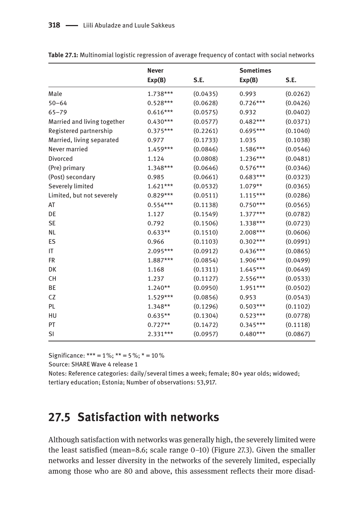|                             | <b>Never</b> |          | <b>Sometimes</b> |          |
|-----------------------------|--------------|----------|------------------|----------|
|                             | Exp(B)       | S.E.     | Exp(B)           | S.E.     |
| Male                        | 1.738***     | (0.0435) | 0.993            | (0.0262) |
| $50 - 64$                   | $0.528***$   | (0.0628) | $0.726***$       | (0.0426) |
| $65 - 79$                   | $0.616***$   | (0.0575) | 0.932            | (0.0402) |
| Married and living together | $0.430***$   | (0.0577) | $0.482***$       | (0.0371) |
| Registered partnership      | $0.375***$   | (0.2261) | $0.695***$       | (0.1040) |
| Married, living separated   | 0.977        | (0.1733) | 1.035            | (0.1038) |
| Never married               | $1.459***$   | (0.0846) | 1.586***         | (0.0546) |
| Divorced                    | 1.124        | (0.0808) | 1.236***         | (0.0481) |
| (Pre) primary               | 1.348***     | (0.0646) | $0.576***$       | (0.0346) |
| (Post) secondary            | 0.985        | (0.0661) | $0.683***$       | (0.0323) |
| Severely limited            | $1.621***$   | (0.0532) | $1.079**$        | (0.0365) |
| Limited, but not severely   | $0.829***$   | (0.0511) | $1.115***$       | (0.0286) |
| AT                          | $0.554***$   | (0.1138) | $0.750***$       | (0.0565) |
| DE                          | 1.127        | (0.1549) | $1.377***$       | (0.0782) |
| <b>SE</b>                   | 0.792        | (0.1506) | 1.338***         | (0.0723) |
| <b>NL</b>                   | $0.633**$    | (0.1510) | 2.008***         | (0.0606) |
| ES                          | 0.966        | (0.1103) | $0.302***$       | (0.0991) |
| IT                          | 2.095***     | (0.0912) | $0.436***$       | (0.0865) |
| <b>FR</b>                   | 1.887***     | (0.0854) | 1.906***         | (0.0499) |
| DK                          | 1.168        | (0.1311) | $1.645***$       | (0.0649) |
| <b>CH</b>                   | 1.237        | (0.1127) | 2.556***         | (0.0533) |
| BE                          | $1.240**$    | (0.0950) | 1.951***         | (0.0502) |
| CZ                          | $1.529***$   | (0.0856) | 0.953            | (0.0543) |
| PL                          | 1.348**      | (0.1296) | $0.503***$       | (0.1102) |
| HU                          | $0.635**$    | (0.1304) | $0.523***$       | (0.0778) |
| PT                          | $0.727**$    | (0.1472) | $0.345***$       | (0.1118) |
| SI                          | $2.331***$   | (0.0957) | $0.480***$       | (0.0867) |

**Table 27.1:** Multinomial logistic regression of average frequency of contact with social networks

Significance: \*\*\* =  $1\%$ ; \*\* =  $5\%$ ; \* =  $10\%$ 

Source: SHARE Wave 4 release 1

Notes: Reference categories: daily/several times a week; female; 80+ year olds; widowed; tertiary education; Estonia; Number of observations: 53,917.

## **27.5 Satisfaction with networks**

Although satisfaction with networks was generally high, the severely limited were the least satisfied (mean=8.6; scale range 0–10) (Figure 27.3). Given the smaller networks and lesser diversity in the networks of the severely limited, especially among those who are 80 and above, this assessment reflects their more disad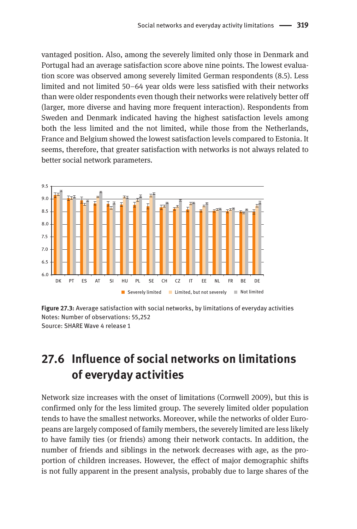vantaged position. Also, among the severely limited only those in Denmark and Portugal had an average satisfaction score above nine points. The lowest evaluation score was observed among severely limited German respondents (8.5). Less limited and not limited 50–64 year olds were less satisfied with their networks than were older respondents even though their networks were relatively better off (larger, more diverse and having more frequent interaction). Respondents from Sweden and Denmark indicated having the highest satisfaction levels among both the less limited and the not limited, while those from the Netherlands, France and Belgium showed the lowest satisfaction levels compared to Estonia. It seems, therefore, that greater satisfaction with networks is not always related to better social network parameters.



**Figure 27.3:** Average satisfaction with social networks, by limitations of everyday activities Notes: Number of observations: 55,252 Source: SHARE Wave 4 release 1

## **27.6 Influence of social networks on limitations of everyday activities**

Network size increases with the onset of limitations (Cornwell 2009), but this is confirmed only for the less limited group. The severely limited older population tends to have the smallest networks. Moreover, while the networks of older Europeans are largely composed of family members, the severely limited are less likely to have family ties (or friends) among their network contacts. In addition, the number of friends and siblings in the network decreases with age, as the proportion of children increases. However, the effect of major demographic shifts is not fully apparent in the present analysis, probably due to large shares of the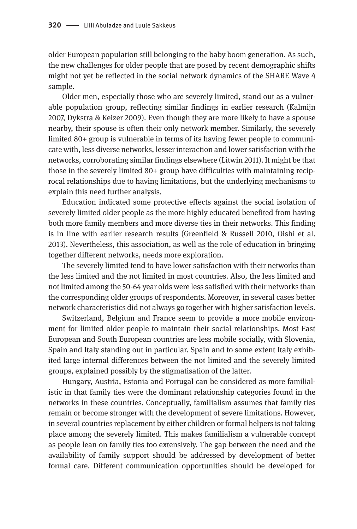older European population still belonging to the baby boom generation. As such, the new challenges for older people that are posed by recent demographic shifts might not yet be reflected in the social network dynamics of the SHARE Wave 4 sample.

Older men, especially those who are severely limited, stand out as a vulnerable population group, reflecting similar findings in earlier research (Kalmijn 2007, Dykstra & Keizer 2009). Even though they are more likely to have a spouse nearby, their spouse is often their only network member. Similarly, the severely limited 80+ group is vulnerable in terms of its having fewer people to communicate with, less diverse networks, lesser interaction and lower satisfaction with the networks, corroborating similar findings elsewhere (Litwin 2011). It might be that those in the severely limited 80+ group have difficulties with maintaining reciprocal relationships due to having limitations, but the underlying mechanisms to explain this need further analysis.

Education indicated some protective effects against the social isolation of severely limited older people as the more highly educated benefited from having both more family members and more diverse ties in their networks. This finding is in line with earlier research results (Greenfield & Russell 2010, Oishi et al. 2013). Nevertheless, this association, as well as the role of education in bringing together different networks, needs more exploration.

The severely limited tend to have lower satisfaction with their networks than the less limited and the not limited in most countries. Also, the less limited and not limited among the 50-64 year olds were less satisfied with their networks than the corresponding older groups of respondents. Moreover, in several cases better network characteristics did not always go together with higher satisfaction levels.

Switzerland, Belgium and France seem to provide a more mobile environment for limited older people to maintain their social relationships. Most East European and South European countries are less mobile socially, with Slovenia, Spain and Italy standing out in particular. Spain and to some extent Italy exhibited large internal differences between the not limited and the severely limited groups, explained possibly by the stigmatisation of the latter.

Hungary, Austria, Estonia and Portugal can be considered as more familialistic in that family ties were the dominant relationship categories found in the networks in these countries. Conceptually, familialism assumes that family ties remain or become stronger with the development of severe limitations. However, in several countries replacement by either children or formal helpers is not taking place among the severely limited. This makes familialism a vulnerable concept as people lean on family ties too extensively. The gap between the need and the availability of family support should be addressed by development of better formal care. Different communication opportunities should be developed for